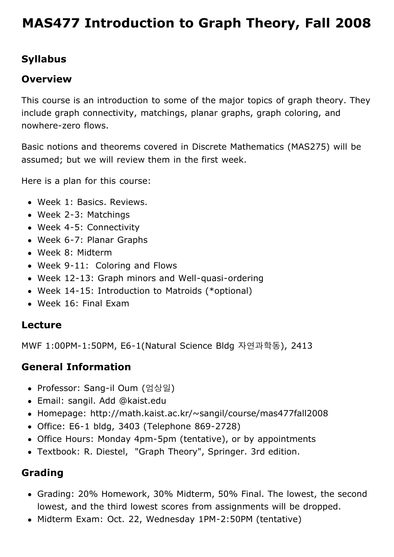# **[MAS477 Introduction to Graph Theory, Fall 2008](http://math.kaist.ac.kr/~sangil/course/mas477fall2008/)**

## **Syllabus**

#### **Overview**

This course is an introduction to some of the major topics of graph theory. They include graph connectivity, matchings, planar graphs, graph coloring, and nowhere-zero flows.

Basic notions and theorems covered in Discrete Mathematics (MAS275) will be assumed; but we will review them in the first week.

Here is a plan for this course:

- Week 1: Basics. Reviews.
- Week 2-3: Matchings
- Week 4-5: Connectivity
- Week 6-7: Planar Graphs
- Week 8: Midterm
- Week 9-11: Coloring and Flows
- Week 12-13: Graph minors and Well-quasi-ordering
- Week 14-15: Introduction to Matroids (\*optional)
- Week 16: Final Exam

#### **Lecture**

MWF 1:00PM-1:50PM, E6-1(Natural Science Bldg 자연과학동), 2413

#### **General Information**

- Professor: Sang-il Oum (엄상일)
- Email: sangil. Add @kaist.edu
- Homepage: http://math.kaist.ac.kr/~sangil/course/mas477fall2008
- Office: E6-1 bldg, 3403 (Telephone 869-2728)
- Office Hours: Monday 4pm-5pm (tentative), or by appointments
- Textbook: [R. Diestel, "Graph Theory", Springer. 3rd edition.](http://www.math.uni-hamburg.de/home/diestel/books/graph.theory/)

## **Grading**

- Grading: 20% Homework, 30% Midterm, 50% Final. The lowest, the second lowest, and the third lowest scores from assignments will be dropped.
- Midterm Exam: Oct. 22, Wednesday 1PM-2:50PM (tentative)